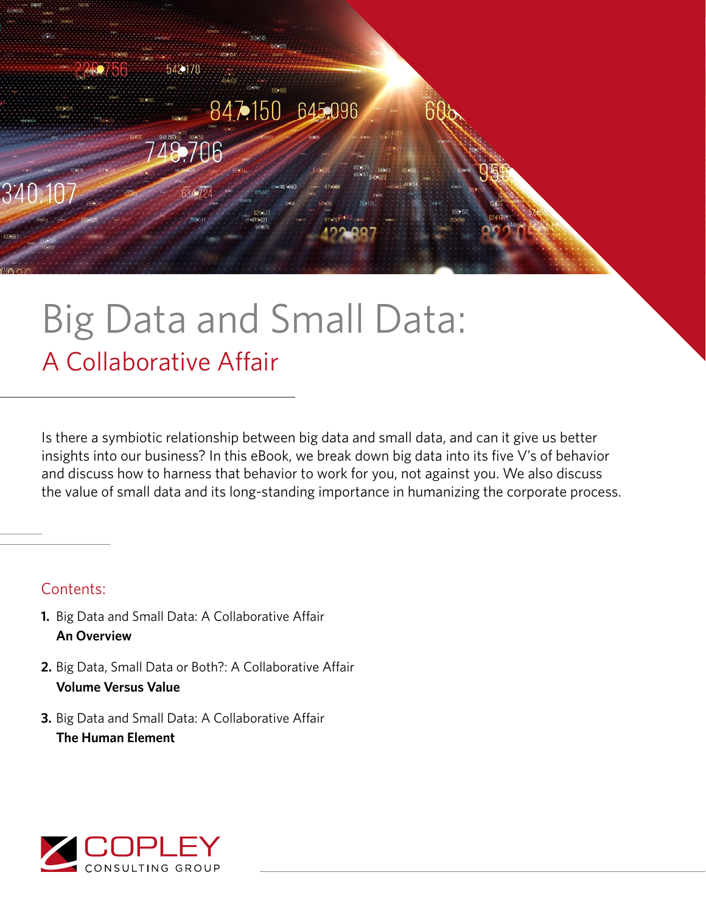

# Big Data and Small Data: A Collaborative Affair

Is there a symbiotic relationship between big data and small data, and can it give us better insights into our business? In this eBook, we break down big data into its five V's of behavior and discuss how to harness that behavior to work for you, not against you. We also discuss the value of small data and its long-standing importance in humanizing the corporate process.

### Contents:

- **1.** Big Data and Small Data: A Collaborative Affair **An Overview**
- **2.** Big Data, Small Data or Both?: A Collaborative Affair **Volume Versus Value**
- **3.** Big Data and Small Data: A Collaborative Affair **The Human Element**

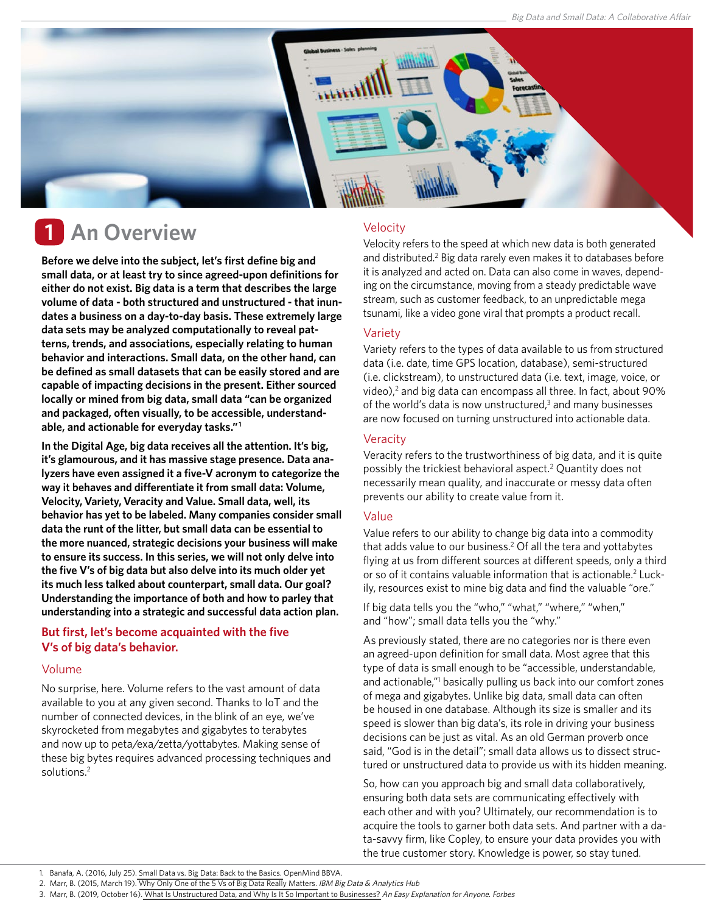

## **1** An Overview Welocity

**Before we delve into the subject, let's first define big and small data, or at least try to since agreed-upon definitions for either do not exist. Big data is a term that describes the large volume of data - both structured and unstructured - that inundates a business on a day-to-day basis. These extremely large data sets may be analyzed computationally to reveal patterns, trends, and associations, especially relating to human behavior and interactions. Small data, on the other hand, can be defined as small datasets that can be easily stored and are capable of impacting decisions in the present. Either sourced locally or mined from big data, small data "can be organized and packaged, often visually, to be accessible, understandable, and actionable for everyday tasks." 1** 

**In the Digital Age, big data receives all the attention. It's big, it's glamourous, and it has massive stage presence. Data analyzers have even assigned it a five-V acronym to categorize the way it behaves and differentiate it from small data: Volume, Velocity, Variety, Veracity and Value. Small data, well, its behavior has yet to be labeled. Many companies consider small data the runt of the litter, but small data can be essential to the more nuanced, strategic decisions your business will make to ensure its success. In this series, we will not only delve into the five V's of big data but also delve into its much older yet its much less talked about counterpart, small data. Our goal? Understanding the importance of both and how to parley that understanding into a strategic and successful data action plan.**

#### **But first, let's become acquainted with the five V's of big data's behavior.**

#### Volume

No surprise, here. Volume refers to the vast amount of data available to you at any given second. Thanks to IoT and the number of connected devices, in the blink of an eye, we've skyrocketed from megabytes and gigabytes to terabytes and now up to peta/exa/zetta/yottabytes. Making sense of these big bytes requires advanced processing techniques and solutions.<sup>2</sup>

Velocity refers to the speed at which new data is both generated and distributed.<sup>2</sup> Big data rarely even makes it to databases before it is analyzed and acted on. Data can also come in waves, depending on the circumstance, moving from a steady predictable wave stream, such as customer feedback, to an unpredictable mega tsunami, like a video gone viral that prompts a product recall.

#### Variety

Variety refers to the types of data available to us from structured data (i.e. date, time GPS location, database), semi-structured (i.e. clickstream), to unstructured data (i.e. text, image, voice, or video),<sup>2</sup> and big data can encompass all three. In fact, about 90% of the world's data is now unstructured, $3$  and many businesses are now focused on turning unstructured into actionable data.

#### **Veracity**

Veracity refers to the trustworthiness of big data, and it is quite possibly the trickiest behavioral aspect.2 Quantity does not necessarily mean quality, and inaccurate or messy data often prevents our ability to create value from it.

#### Value

Value refers to our ability to change big data into a commodity that adds value to our business.<sup>2</sup> Of all the tera and yottabytes flying at us from different sources at different speeds, only a third or so of it contains valuable information that is actionable.<sup>2</sup> Luckily, resources exist to mine big data and find the valuable "ore."

If big data tells you the "who," "what," "where," "when," and "how"; small data tells you the "why."

As previously stated, there are no categories nor is there even an agreed-upon definition for small data. Most agree that this type of data is small enough to be "accessible, understandable, and actionable,"<sup>1</sup> basically pulling us back into our comfort zones of mega and gigabytes. Unlike big data, small data can often be housed in one database. Although its size is smaller and its speed is slower than big data's, its role in driving your business decisions can be just as vital. As an old German proverb once said, "God is in the detail"; small data allows us to dissect structured or unstructured data to provide us with its hidden meaning.

So, how can you approach big and small data collaboratively, ensuring both data sets are communicating effectively with each other and with you? Ultimately, our recommendation is to acquire the tools to garner both data sets. And partner with a data-savvy firm, like Copley, to ensure your data provides you with the true customer story. Knowledge is power, so stay tuned.

<sup>1.</sup> Banafa, A. (2016, July 25). [Small Data vs. Big Data: Back to the Basics.](https://www.bbvaopenmind.com/en/technology/digital-world/small-data-vs-big-data-back-to-the-basics/) OpenMind BBVA.

<sup>2.</sup> Marr, B. (2015, March 19). [Why Only One of the 5 Vs of Big Data Really Matters.](https://info.copleycg.com/blog/.%20https:/www.ibmbigdatahub.com/blog/why-only-one-5-vs-big-data-really-matters) IBM Big Data & Analytics Hub

<sup>3.</sup> Marr, B. (2019, October 16). [What Is Unstructured Data, and Why Is It So Important to Businesses?](https://www.forbes.com/sites/bernardmarr/2019/10/16/what-is-unstructured-data-and-why-is-it-so-important-to-businesses-an-easy-explanation-for-anyone/#1ed791b115f6) An Easy Explanation for Anyone. Forbes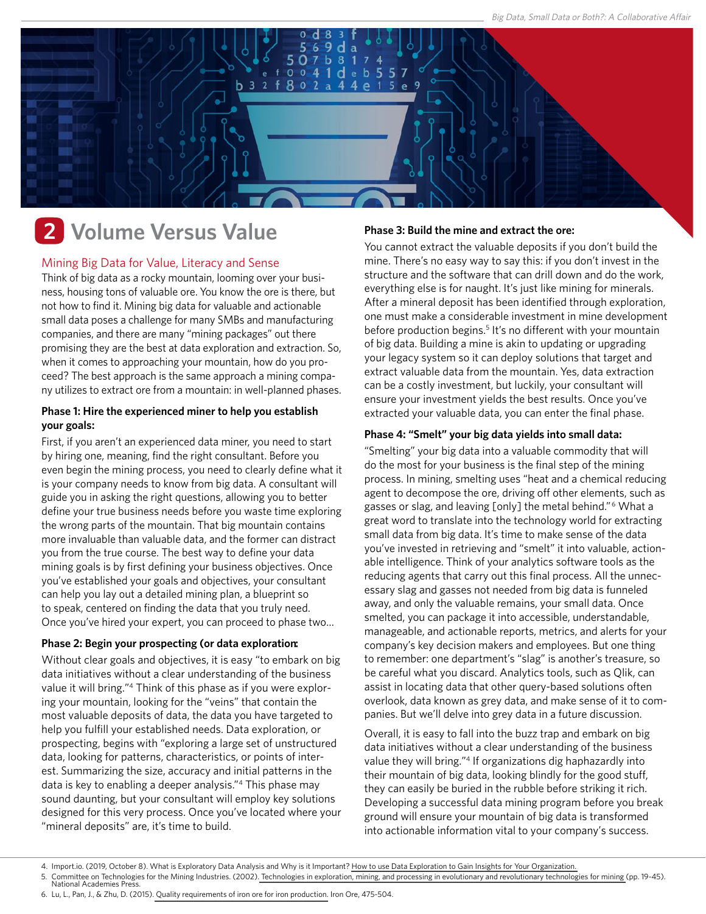

### **Volume Versus Value 2**

#### Mining Big Data for Value, Literacy and Sense

Think of big data as a rocky mountain, looming over your business, housing tons of valuable ore. You know the ore is there, but not how to find it. Mining big data for valuable and actionable small data poses a challenge for many SMBs and manufacturing companies, and there are many "mining packages" out there promising they are the best at data exploration and extraction. So, when it comes to approaching your mountain, how do you proceed? The best approach is the same approach a mining company utilizes to extract ore from a mountain: in well-planned phases.

#### **Phase 1: Hire the experienced miner to help you establish your goals:**

First, if you aren't an experienced data miner, you need to start by hiring one, meaning, find the right consultant. Before you even begin the mining process, you need to clearly define what it is your company needs to know from big data. A consultant will guide you in asking the right questions, allowing you to better define your true business needs before you waste time exploring the wrong parts of the mountain. That big mountain contains more invaluable than valuable data, and the former can distract you from the true course. The best way to define your data mining goals is by first defining your business objectives. Once you've established your goals and objectives, your consultant can help you lay out a detailed mining plan, a blueprint so to speak, centered on finding the data that you truly need. Once you've hired your expert, you can proceed to phase two…

#### **Phase 2: Begin your prospecting (or data exploration:**

Without clear goals and objectives, it is easy "to embark on big data initiatives without a clear understanding of the business value it will bring."<sup>4</sup> Think of this phase as if you were exploring your mountain, looking for the "veins" that contain the most valuable deposits of data, the data you have targeted to help you fulfill your established needs. Data exploration, or prospecting, begins with "exploring a large set of unstructured data, looking for patterns, characteristics, or points of interest. Summarizing the size, accuracy and initial patterns in the data is key to enabling a deeper analysis."<sup>4</sup> This phase may sound daunting, but your consultant will employ key solutions designed for this very process. Once you've located where your "mineral deposits" are, it's time to build.

#### **Phase 3: Build the mine and extract the ore:**

You cannot extract the valuable deposits if you don't build the mine. There's no easy way to say this: if you don't invest in the structure and the software that can drill down and do the work, everything else is for naught. It's just like mining for minerals. After a mineral deposit has been identified through exploration, one must make a considerable investment in mine development before production begins.<sup>5</sup> It's no different with your mountain of big data. Building a mine is akin to updating or upgrading your legacy system so it can deploy solutions that target and extract valuable data from the mountain. Yes, data extraction can be a costly investment, but luckily, your consultant will ensure your investment yields the best results. Once you've extracted your valuable data, you can enter the final phase.

#### **Phase 4: "Smelt" your big data yields into small data:**

"Smelting" your big data into a valuable commodity that will do the most for your business is the final step of the mining process. In mining, smelting uses "heat and a chemical reducing agent to decompose the ore, driving off other elements, such as gasses or slag, and leaving [only] the metal behind."<sup>6</sup> What a great word to translate into the technology world for extracting small data from big data. It's time to make sense of the data you've invested in retrieving and "smelt" it into valuable, actionable intelligence. Think of your analytics software tools as the reducing agents that carry out this final process. All the unnecessary slag and gasses not needed from big data is funneled away, and only the valuable remains, your small data. Once smelted, you can package it into accessible, understandable, manageable, and actionable reports, metrics, and alerts for your company's key decision makers and employees. But one thing to remember: one department's "slag" is another's treasure, so be careful what you discard. Analytics tools, such as Qlik, can assist in locating data that other query-based solutions often overlook, data known as grey data, and make sense of it to companies. But we'll delve into grey data in a future discussion.

Overall, it is easy to fall into the buzz trap and embark on big data initiatives without a clear understanding of the business value they will bring."<sup>4</sup> If organizations dig haphazardly into their mountain of big data, looking blindly for the good stuff, they can easily be buried in the rubble before striking it rich. Developing a successful data mining program before you break ground will ensure your mountain of big data is transformed into actionable information vital to your company's success.

<sup>4.</sup> Import.io. (2019, October 8). What is Exploratory Data Analysis and Why is it Important? [How to use Data Exploration to Gain Insights for Your Organization.](https://www.import.io/post/exploratory-data-analysis-data-exploration-insights-organization/)

<sup>5.</sup> Committee on Technologies for the Mining Industries. (2002)[. Technologies in exploration, mining, and processing in evolutionary and revolutionary technologies for mining \(](https://www.nap.edu/read/10318/chapter/5)pp. 19-45).

National Academies Press.

<sup>6.</sup> Lu, L., Pan, J., & Zhu, D. (2015). [Quality requirements of iron ore for iron production.](https://doi.org/10.1016/B978-1-78242-156-6.00016-2) Iron Ore, 475-504.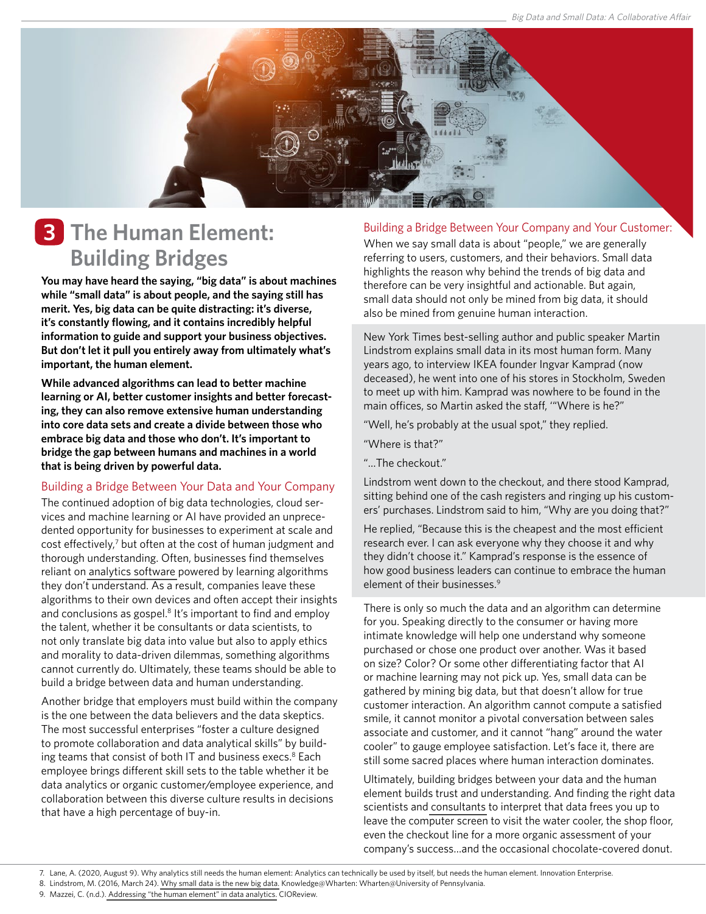

### **The Human Element: 3 Building Bridges**

**You may have heard the saying, "big data" is about machines while "small data" is about people, and the saying still has merit. Yes, big data can be quite distracting: it's diverse, it's constantly flowing, and it contains incredibly helpful information to guide and support your business objectives. But don't let it pull you entirely away from ultimately what's important, the human element.**

**While advanced algorithms can lead to better machine learning or AI, better customer insights and better forecasting, they can also remove extensive human understanding into core data sets and create a divide between those who embrace big data and those who don't. It's important to bridge the gap between humans and machines in a world that is being driven by powerful data.**

#### Building a Bridge Between Your Data and Your Company

The continued adoption of big data technologies, cloud services and machine learning or AI have provided an unprecedented opportunity for businesses to experiment at scale and cost effectively,<sup>7</sup> but often at the cost of human judgment and thorough understanding. Often, businesses find themselves reliant on [analytics software](https://copleycg.com/products-solutions/qlik-analytics/) powered by learning algorithms they don't understand. As a result, companies leave these algorithms to their own devices and often accept their insights and conclusions as gospel.<sup>8</sup> It's important to find and employ the talent, whether it be consultants or data scientists, to not only translate big data into value but also to apply ethics and morality to data-driven dilemmas, something algorithms cannot currently do. Ultimately, these teams should be able to build a bridge between data and human understanding.

Another bridge that employers must build within the company is the one between the data believers and the data skeptics. The most successful enterprises "foster a culture designed to promote collaboration and data analytical skills" by building teams that consist of both IT and business execs.<sup>8</sup> Each employee brings different skill sets to the table whether it be data analytics or organic customer/employee experience, and collaboration between this diverse culture results in decisions that have a high percentage of buy-in.

#### Building a Bridge Between Your Company and Your Customer:

When we say small data is about "people," we are generally referring to users, customers, and their behaviors. Small data highlights the reason why behind the trends of big data and therefore can be very insightful and actionable. But again, small data should not only be mined from big data, it should also be mined from genuine human interaction.

New York Times best-selling author and public speaker Martin Lindstrom explains small data in its most human form. Many years ago, to interview IKEA founder Ingvar Kamprad (now deceased), he went into one of his stores in Stockholm, Sweden to meet up with him. Kamprad was nowhere to be found in the main offices, so Martin asked the staff, '"Where is he?"

"Well, he's probably at the usual spot," they replied.

"Where is that?"

"…The checkout."

Lindstrom went down to the checkout, and there stood Kamprad, sitting behind one of the cash registers and ringing up his customers' purchases. Lindstrom said to him, "Why are you doing that?"

He replied, "Because this is the cheapest and the most efficient research ever. I can ask everyone why they choose it and why they didn't choose it." Kamprad's response is the essence of how good business leaders can continue to embrace the human element of their businesses.<sup>9</sup>

There is only so much the data and an algorithm can determine for you. Speaking directly to the consumer or having more intimate knowledge will help one understand why someone purchased or chose one product over another. Was it based on size? Color? Or some other differentiating factor that AI or machine learning may not pick up. Yes, small data can be gathered by mining big data, but that doesn't allow for true customer interaction. An algorithm cannot compute a satisfied smile, it cannot monitor a pivotal conversation between sales associate and customer, and it cannot "hang" around the water cooler" to gauge employee satisfaction. Let's face it, there are still some sacred places where human interaction dominates.

Ultimately, building bridges between your data and the human element builds trust and understanding. And finding the right data scientists and [consultants](http://www.copleycg.com/) to interpret that data frees you up to leave the computer screen to visit the water cooler, the shop floor, even the checkout line for a more organic assessment of your company's success…and the occasional chocolate-covered donut.

<sup>7.</sup> Lane, A. (2020, August 9). Why analytics still needs the human element: Analytics can technically be used by itself, but needs the human element. Innovation Enterprise.

<sup>8.</sup> Lindstrom, M. (2016, March 24). [Why small data is the new big data.](https://knowledge.wharton.upenn.edu/article/small-data-new-big-data/) Knowledge@Wharten: Wharten@University of Pennsylvania.

<sup>9.</sup> Mazzei, C. (n.d.). [Addressing "the human element" in data analytics.](https://bigdata.cioreview.com/cxoinsight/addressing-the-human-element-in-data-analytics-nid-24003-cid-15.html) CIOReview.